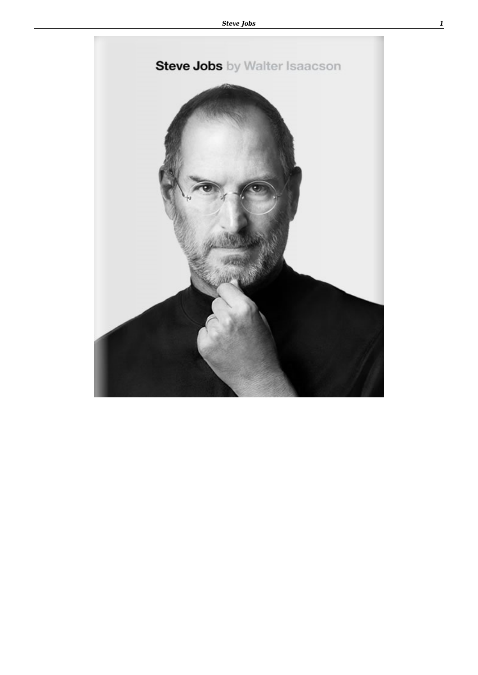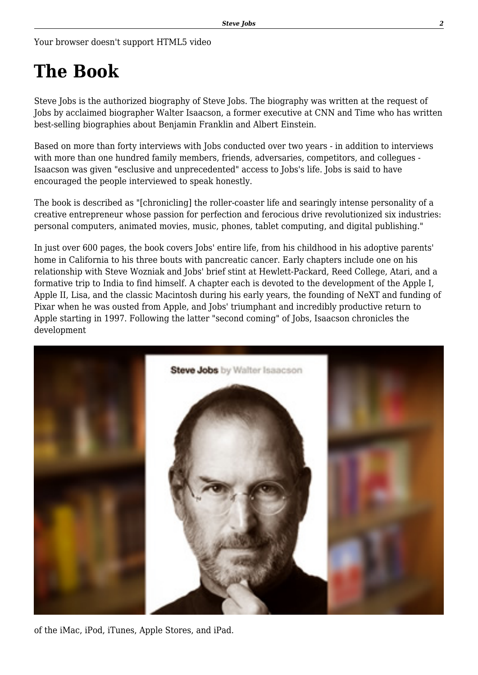Your browser doesn't support HTML5 video

## **The Book**

Steve Jobs is the authorized biography of Steve Jobs. The biography was written at the request of Jobs by acclaimed biographer Walter Isaacson, a former executive at CNN and Time who has written best-selling biographies about Benjamin Franklin and Albert Einstein.

Based on more than forty interviews with Jobs conducted over two years - in addition to interviews with more than one hundred family members, friends, adversaries, competitors, and collegues - Isaacson was given "esclusive and unprecedented" access to Jobs's life. Jobs is said to have encouraged the people interviewed to speak honestly.

The book is described as "[chronicling] the roller-coaster life and searingly intense personality of a creative entrepreneur whose passion for perfection and ferocious drive revolutionized six industries: personal computers, animated movies, music, phones, tablet computing, and digital publishing."

In just over 600 pages, the book covers Jobs' entire life, from his childhood in his adoptive parents' home in California to his three bouts with pancreatic cancer. Early chapters include one on his relationship with Steve Wozniak and Jobs' brief stint at Hewlett-Packard, Reed College, Atari, and a formative trip to India to find himself. A chapter each is devoted to the development of the Apple I, Apple II, Lisa, and the classic Macintosh during his early years, the founding of NeXT and funding of Pixar when he was ousted from Apple, and Jobs' triumphant and incredibly productive return to Apple starting in 1997. Following the latter "second coming" of Jobs, Isaacson chronicles the development



of the iMac, iPod, iTunes, Apple Stores, and iPad.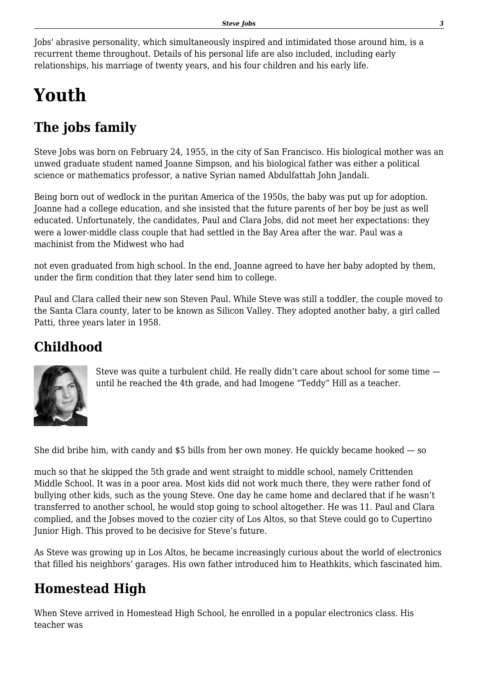Jobs' abrasive personality, which simultaneously inspired and intimidated those around him, is a recurrent theme throughout. Details of his personal life are also included, including early relationships, his marriage of twenty years, and his four children and his early life.

# **Youth**

## **The jobs family**

Steve Jobs was born on February 24, 1955, in the city of San Francisco. His biological mother was an unwed graduate student named Joanne Simpson, and his biological father was either a political science or mathematics professor, a native Syrian named Abdulfattah John Jandali.

Being born out of wedlock in the puritan America of the 1950s, the baby was put up for adoption. Joanne had a college education, and she insisted that the future parents of her boy be just as well educated. Unfortunately, the candidates, Paul and Clara Jobs, did not meet her expectations: they were a lower-middle class couple that had settled in the Bay Area after the war. Paul was a machinist from the Midwest who had

not even graduated from high school. In the end, Joanne agreed to have her baby adopted by them, under the firm condition that they later send him to college.

Paul and Clara called their new son Steven Paul. While Steve was still a toddler, the couple moved to the Santa Clara county, later to be known as Silicon Valley. They adopted another baby, a girl called Patti, three years later in 1958.

### **Childhood**



Steve was quite a turbulent child. He really didn't care about school for some time until he reached the 4th grade, and had Imogene "Teddy" Hill as a teacher.

She did bribe him, with candy and \$5 bills from her own money. He quickly became hooked — so

much so that he skipped the 5th grade and went straight to middle school, namely Crittenden Middle School. It was in a poor area. Most kids did not work much there, they were rather fond of bullying other kids, such as the young Steve. One day he came home and declared that if he wasn't transferred to another school, he would stop going to school altogether. He was 11. Paul and Clara complied, and the Jobses moved to the cozier city of Los Altos, so that Steve could go to Cupertino Junior High. This proved to be decisive for Steve's future.

As Steve was growing up in Los Altos, he became increasingly curious about the world of electronics that filled his neighbors' garages. His own father introduced him to Heathkits, which fascinated him.

### **Homestead High**

When Steve arrived in Homestead High School, he enrolled in a popular electronics class. His teacher was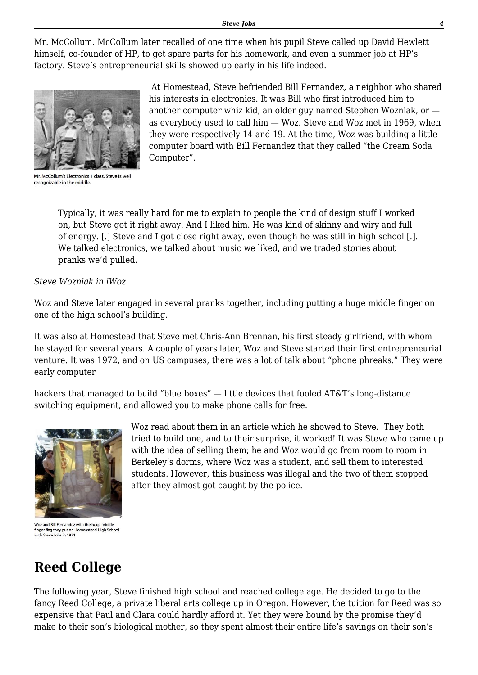Mr. McCollum. McCollum later recalled of one time when his pupil Steve called up David Hewlett himself, co-founder of HP, to get spare parts for his homework, and even a summer job at HP's factory. Steve's entrepreneurial skills showed up early in his life indeed.



Mr. McCollum's Electronics 1 class. Steve is well recognizable in the middle

 At Homestead, Steve befriended Bill Fernandez, a neighbor who shared his interests in electronics. It was Bill who first introduced him to another computer whiz kid, an older guy named Stephen Wozniak, or as everybody used to call him — Woz. Steve and Woz met in 1969, when they were respectively 14 and 19. At the time, Woz was building a little computer board with Bill Fernandez that they called "the Cream Soda Computer".

Typically, it was really hard for me to explain to people the kind of design stuff I worked on, but Steve got it right away. And I liked him. He was kind of skinny and wiry and full of energy. [.] Steve and I got close right away, even though he was still in high school [.]. We talked electronics, we talked about music we liked, and we traded stories about pranks we'd pulled.

#### *Steve Wozniak in iWoz*

Woz and Steve later engaged in several pranks together, including putting a huge middle finger on one of the high school's building.

It was also at Homestead that Steve met Chris-Ann Brennan, his first steady girlfriend, with whom he stayed for several years. A couple of years later, Woz and Steve started their first entrepreneurial venture. It was 1972, and on US campuses, there was a lot of talk about "phone phreaks." They were early computer

hackers that managed to build "blue boxes" — little devices that fooled AT&T's long-distance switching equipment, and allowed you to make phone calls for free.



Woz and Bill Fernandez with the huge middle finger flag they put on Homeastead High School with Steve Jobs in 1971

Woz read about them in an article which he showed to Steve. They both tried to build one, and to their surprise, it worked! It was Steve who came up with the idea of selling them; he and Woz would go from room to room in Berkeley's dorms, where Woz was a student, and sell them to interested students. However, this business was illegal and the two of them stopped after they almost got caught by the police.

### **Reed College**

The following year, Steve finished high school and reached college age. He decided to go to the fancy Reed College, a private liberal arts college up in Oregon. However, the tuition for Reed was so expensive that Paul and Clara could hardly afford it. Yet they were bound by the promise they'd make to their son's biological mother, so they spent almost their entire life's savings on their son's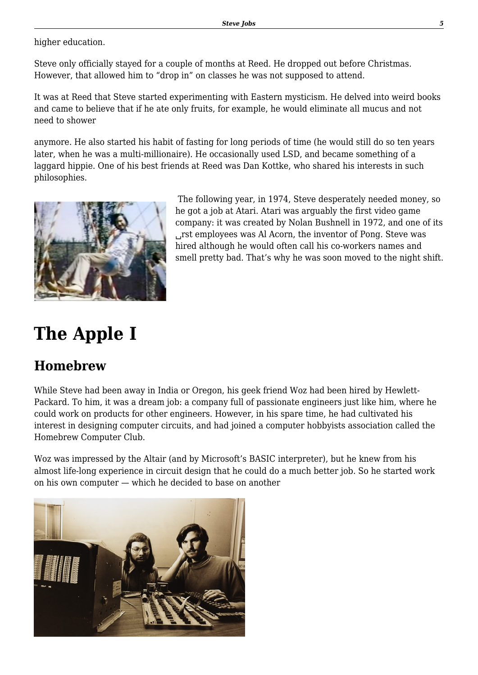higher education.

Steve only officially stayed for a couple of months at Reed. He dropped out before Christmas. However, that allowed him to "drop in" on classes he was not supposed to attend.

It was at Reed that Steve started experimenting with Eastern mysticism. He delved into weird books and came to believe that if he ate only fruits, for example, he would eliminate all mucus and not need to shower

anymore. He also started his habit of fasting for long periods of time (he would still do so ten years later, when he was a multi-millionaire). He occasionally used LSD, and became something of a laggard hippie. One of his best friends at Reed was Dan Kottke, who shared his interests in such philosophies.



 The following year, in 1974, Steve desperately needed money, so he got a job at Atari. Atari was arguably the first video game company: it was created by Nolan Bushnell in 1972, and one of its ␣rst employees was Al Acorn, the inventor of Pong. Steve was hired although he would often call his co-workers names and smell pretty bad. That's why he was soon moved to the night shift.

# **The Apple I**

### **Homebrew**

While Steve had been away in India or Oregon, his geek friend Woz had been hired by Hewlett-Packard. To him, it was a dream job: a company full of passionate engineers just like him, where he could work on products for other engineers. However, in his spare time, he had cultivated his interest in designing computer circuits, and had joined a computer hobbyists association called the Homebrew Computer Club.

Woz was impressed by the Altair (and by Microsoft's BASIC interpreter), but he knew from his almost life-long experience in circuit design that he could do a much better job. So he started work on his own computer — which he decided to base on another

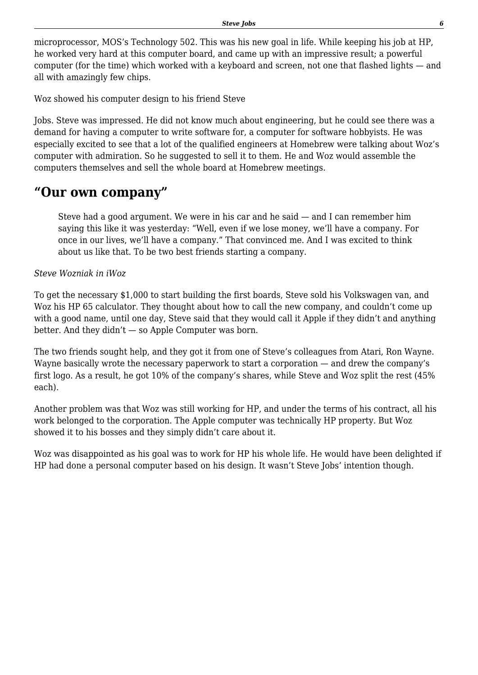microprocessor, MOS's Technology 502. This was his new goal in life. While keeping his job at HP, he worked very hard at this computer board, and came up with an impressive result; a powerful computer (for the time) which worked with a keyboard and screen, not one that flashed lights — and all with amazingly few chips.

Woz showed his computer design to his friend Steve

Jobs. Steve was impressed. He did not know much about engineering, but he could see there was a demand for having a computer to write software for, a computer for software hobbyists. He was especially excited to see that a lot of the qualified engineers at Homebrew were talking about Woz's computer with admiration. So he suggested to sell it to them. He and Woz would assemble the computers themselves and sell the whole board at Homebrew meetings.

### **"Our own company"**

Steve had a good argument. We were in his car and he said — and I can remember him saying this like it was yesterday: "Well, even if we lose money, we'll have a company. For once in our lives, we'll have a company." That convinced me. And I was excited to think about us like that. To be two best friends starting a company.

*Steve Wozniak in iWoz*

To get the necessary \$1,000 to start building the first boards, Steve sold his Volkswagen van, and Woz his HP 65 calculator. They thought about how to call the new company, and couldn't come up with a good name, until one day, Steve said that they would call it Apple if they didn't and anything better. And they didn't — so Apple Computer was born.

The two friends sought help, and they got it from one of Steve's colleagues from Atari, Ron Wayne. Wayne basically wrote the necessary paperwork to start a corporation — and drew the company's first logo. As a result, he got 10% of the company's shares, while Steve and Woz split the rest (45% each).

Another problem was that Woz was still working for HP, and under the terms of his contract, all his work belonged to the corporation. The Apple computer was technically HP property. But Woz showed it to his bosses and they simply didn't care about it.

Woz was disappointed as his goal was to work for HP his whole life. He would have been delighted if HP had done a personal computer based on his design. It wasn't Steve Jobs' intention though.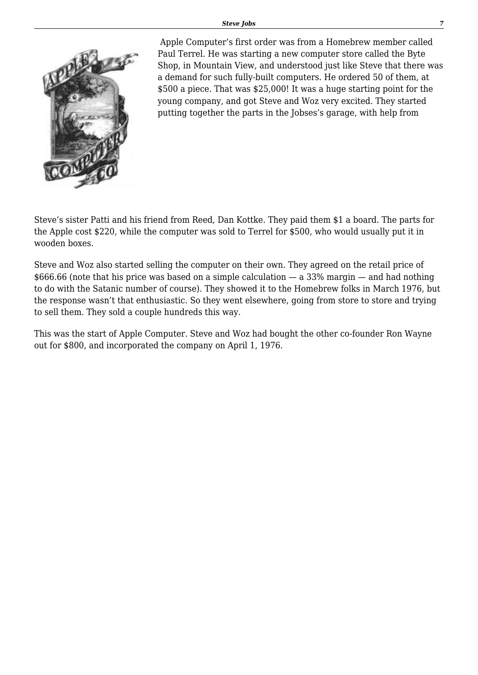

 Apple Computer's first order was from a Homebrew member called Paul Terrel. He was starting a new computer store called the Byte Shop, in Mountain View, and understood just like Steve that there was a demand for such fully-built computers. He ordered 50 of them, at \$500 a piece. That was \$25,000! It was a huge starting point for the young company, and got Steve and Woz very excited. They started putting together the parts in the Jobses's garage, with help from

Steve's sister Patti and his friend from Reed, Dan Kottke. They paid them \$1 a board. The parts for the Apple cost \$220, while the computer was sold to Terrel for \$500, who would usually put it in wooden boxes.

Steve and Woz also started selling the computer on their own. They agreed on the retail price of  $$666.66$  (note that his price was based on a simple calculation  $-$  a 33% margin  $-$  and had nothing to do with the Satanic number of course). They showed it to the Homebrew folks in March 1976, but the response wasn't that enthusiastic. So they went elsewhere, going from store to store and trying to sell them. They sold a couple hundreds this way.

This was the start of Apple Computer. Steve and Woz had bought the other co-founder Ron Wayne out for \$800, and incorporated the company on April 1, 1976.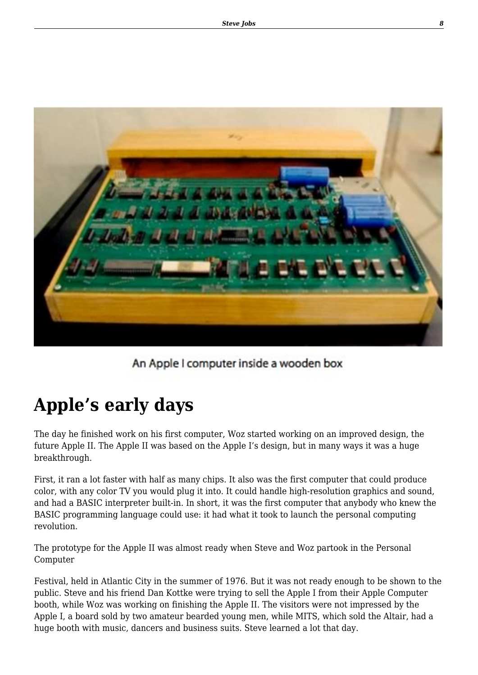

An Apple I computer inside a wooden box

# **Apple's early days**

The day he finished work on his first computer, Woz started working on an improved design, the future Apple II. The Apple II was based on the Apple I's design, but in many ways it was a huge breakthrough.

First, it ran a lot faster with half as many chips. It also was the first computer that could produce color, with any color TV you would plug it into. It could handle high-resolution graphics and sound, and had a BASIC interpreter built-in. In short, it was the first computer that anybody who knew the BASIC programming language could use: it had what it took to launch the personal computing revolution.

The prototype for the Apple II was almost ready when Steve and Woz partook in the Personal Computer

Festival, held in Atlantic City in the summer of 1976. But it was not ready enough to be shown to the public. Steve and his friend Dan Kottke were trying to sell the Apple I from their Apple Computer booth, while Woz was working on finishing the Apple II. The visitors were not impressed by the Apple I, a board sold by two amateur bearded young men, while MITS, which sold the Altair, had a huge booth with music, dancers and business suits. Steve learned a lot that day.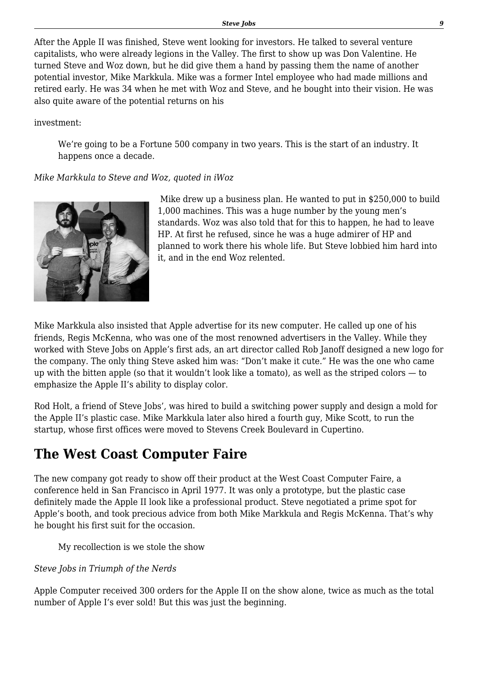After the Apple II was finished, Steve went looking for investors. He talked to several venture capitalists, who were already legions in the Valley. The first to show up was Don Valentine. He turned Steve and Woz down, but he did give them a hand by passing them the name of another potential investor, Mike Markkula. Mike was a former Intel employee who had made millions and retired early. He was 34 when he met with Woz and Steve, and he bought into their vision. He was also quite aware of the potential returns on his

investment:

We're going to be a Fortune 500 company in two years. This is the start of an industry. It happens once a decade.

#### *Mike Markkula to Steve and Woz, quoted in iWoz*



 Mike drew up a business plan. He wanted to put in \$250,000 to build 1,000 machines. This was a huge number by the young men's standards. Woz was also told that for this to happen, he had to leave HP. At first he refused, since he was a huge admirer of HP and planned to work there his whole life. But Steve lobbied him hard into it, and in the end Woz relented.

Mike Markkula also insisted that Apple advertise for its new computer. He called up one of his friends, Regis McKenna, who was one of the most renowned advertisers in the Valley. While they worked with Steve Jobs on Apple's first ads, an art director called Rob Janoff designed a new logo for the company. The only thing Steve asked him was: "Don't make it cute." He was the one who came up with the bitten apple (so that it wouldn't look like a tomato), as well as the striped colors — to emphasize the Apple II's ability to display color.

Rod Holt, a friend of Steve Jobs', was hired to build a switching power supply and design a mold for the Apple II's plastic case. Mike Markkula later also hired a fourth guy, Mike Scott, to run the startup, whose first offices were moved to Stevens Creek Boulevard in Cupertino.

### **The West Coast Computer Faire**

The new company got ready to show off their product at the West Coast Computer Faire, a conference held in San Francisco in April 1977. It was only a prototype, but the plastic case definitely made the Apple II look like a professional product. Steve negotiated a prime spot for Apple's booth, and took precious advice from both Mike Markkula and Regis McKenna. That's why he bought his first suit for the occasion.

My recollection is we stole the show

#### *Steve Jobs in Triumph of the Nerds*

Apple Computer received 300 orders for the Apple II on the show alone, twice as much as the total number of Apple I's ever sold! But this was just the beginning.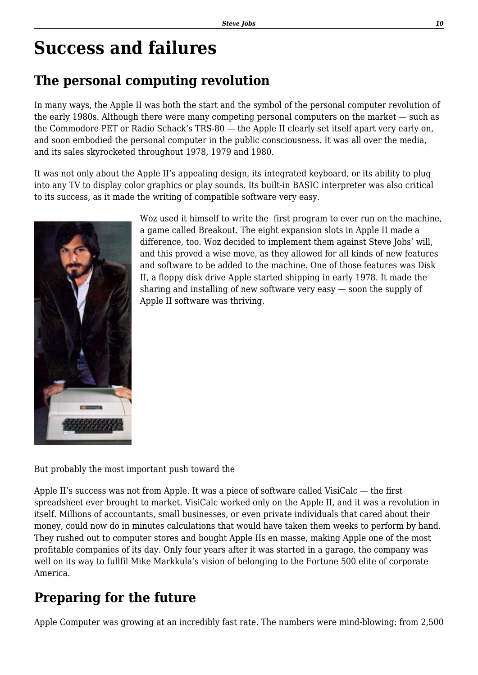## **Success and failures**

### **The personal computing revolution**

In many ways, the Apple II was both the start and the symbol of the personal computer revolution of the early 1980s. Although there were many competing personal computers on the market — such as the Commodore PET or Radio Schack's TRS-80 — the Apple II clearly set itself apart very early on, and soon embodied the personal computer in the public consciousness. It was all over the media, and its sales skyrocketed throughout 1978, 1979 and 1980.

It was not only about the Apple II's appealing design, its integrated keyboard, or its ability to plug into any TV to display color graphics or play sounds. Its built-in BASIC interpreter was also critical to its success, as it made the writing of compatible software very easy.



Woz used it himself to write the first program to ever run on the machine, a game called Breakout. The eight expansion slots in Apple II made a difference, too. Woz decided to implement them against Steve Jobs' will, and this proved a wise move, as they allowed for all kinds of new features and software to be added to the machine. One of those features was Disk II, a floppy disk drive Apple started shipping in early 1978. It made the sharing and installing of new software very easy — soon the supply of Apple II software was thriving.

But probably the most important push toward the

Apple II's success was not from Apple. It was a piece of software called VisiCalc — the first spreadsheet ever brought to market. VisiCalc worked only on the Apple II, and it was a revolution in itself. Millions of accountants, small businesses, or even private individuals that cared about their money, could now do in minutes calculations that would have taken them weeks to perform by hand. They rushed out to computer stores and bought Apple IIs en masse, making Apple one of the most profitable companies of its day. Only four years after it was started in a garage, the company was well on its way to fullfil Mike Markkula's vision of belonging to the Fortune 500 elite of corporate America.

### **Preparing for the future**

Apple Computer was growing at an incredibly fast rate. The numbers were mind-blowing: from 2,500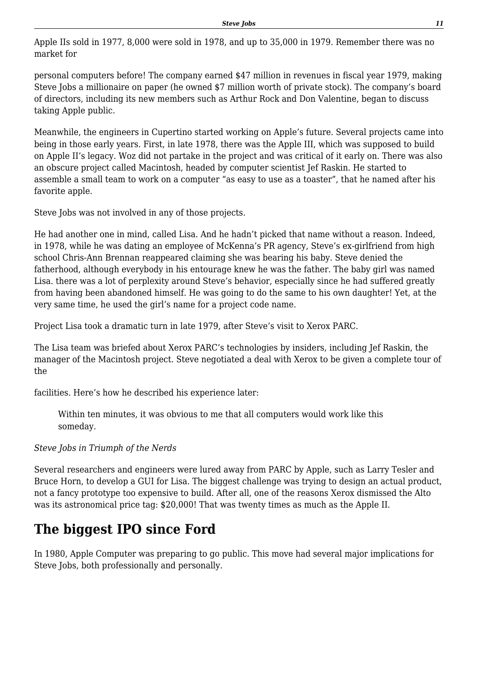Apple IIs sold in 1977, 8,000 were sold in 1978, and up to 35,000 in 1979. Remember there was no market for

personal computers before! The company earned \$47 million in revenues in fiscal year 1979, making Steve Jobs a millionaire on paper (he owned \$7 million worth of private stock). The company's board of directors, including its new members such as Arthur Rock and Don Valentine, began to discuss taking Apple public.

Meanwhile, the engineers in Cupertino started working on Apple's future. Several projects came into being in those early years. First, in late 1978, there was the Apple III, which was supposed to build on Apple II's legacy. Woz did not partake in the project and was critical of it early on. There was also an obscure project called Macintosh, headed by computer scientist Jef Raskin. He started to assemble a small team to work on a computer "as easy to use as a toaster", that he named after his favorite apple.

Steve Jobs was not involved in any of those projects.

He had another one in mind, called Lisa. And he hadn't picked that name without a reason. Indeed, in 1978, while he was dating an employee of McKenna's PR agency, Steve's ex-girlfriend from high school Chris-Ann Brennan reappeared claiming she was bearing his baby. Steve denied the fatherhood, although everybody in his entourage knew he was the father. The baby girl was named Lisa. there was a lot of perplexity around Steve's behavior, especially since he had suffered greatly from having been abandoned himself. He was going to do the same to his own daughter! Yet, at the very same time, he used the girl's name for a project code name.

Project Lisa took a dramatic turn in late 1979, after Steve's visit to Xerox PARC.

The Lisa team was briefed about Xerox PARC's technologies by insiders, including Jef Raskin, the manager of the Macintosh project. Steve negotiated a deal with Xerox to be given a complete tour of the

facilities. Here's how he described his experience later:

Within ten minutes, it was obvious to me that all computers would work like this someday.

### *Steve Jobs in Triumph of the Nerds*

Several researchers and engineers were lured away from PARC by Apple, such as Larry Tesler and Bruce Horn, to develop a GUI for Lisa. The biggest challenge was trying to design an actual product, not a fancy prototype too expensive to build. After all, one of the reasons Xerox dismissed the Alto was its astronomical price tag: \$20,000! That was twenty times as much as the Apple II.

### **The biggest IPO since Ford**

In 1980, Apple Computer was preparing to go public. This move had several major implications for Steve Jobs, both professionally and personally.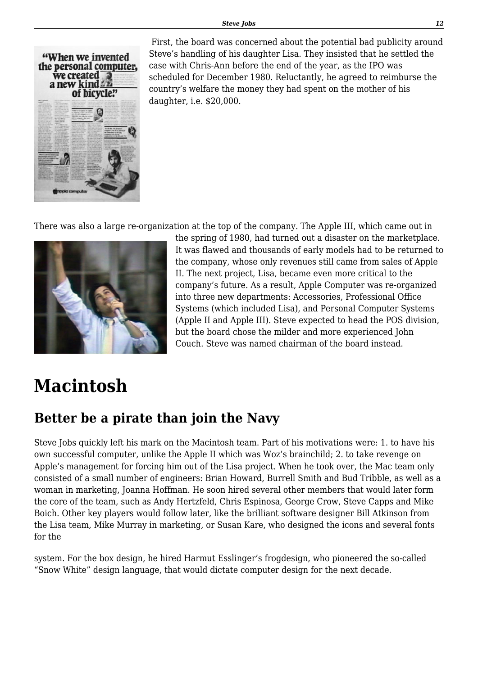

 First, the board was concerned about the potential bad publicity around Steve's handling of his daughter Lisa. They insisted that he settled the case with Chris-Ann before the end of the year, as the IPO was scheduled for December 1980. Reluctantly, he agreed to reimburse the country's welfare the money they had spent on the mother of his daughter, i.e. \$20,000.

There was also a large re-organization at the top of the company. The Apple III, which came out in



the spring of 1980, had turned out a disaster on the marketplace. It was flawed and thousands of early models had to be returned to the company, whose only revenues still came from sales of Apple II. The next project, Lisa, became even more critical to the company's future. As a result, Apple Computer was re-organized into three new departments: Accessories, Professional Office Systems (which included Lisa), and Personal Computer Systems (Apple II and Apple III). Steve expected to head the POS division, but the board chose the milder and more experienced John Couch. Steve was named chairman of the board instead.

## **Macintosh**

### **Better be a pirate than join the Navy**

Steve Jobs quickly left his mark on the Macintosh team. Part of his motivations were: 1. to have his own successful computer, unlike the Apple II which was Woz's brainchild; 2. to take revenge on Apple's management for forcing him out of the Lisa project. When he took over, the Mac team only consisted of a small number of engineers: Brian Howard, Burrell Smith and Bud Tribble, as well as a woman in marketing, Joanna Hoffman. He soon hired several other members that would later form the core of the team, such as Andy Hertzfeld, Chris Espinosa, George Crow, Steve Capps and Mike Boich. Other key players would follow later, like the brilliant software designer Bill Atkinson from the Lisa team, Mike Murray in marketing, or Susan Kare, who designed the icons and several fonts for the

system. For the box design, he hired Harmut Esslinger's frogdesign, who pioneered the so-called "Snow White" design language, that would dictate computer design for the next decade.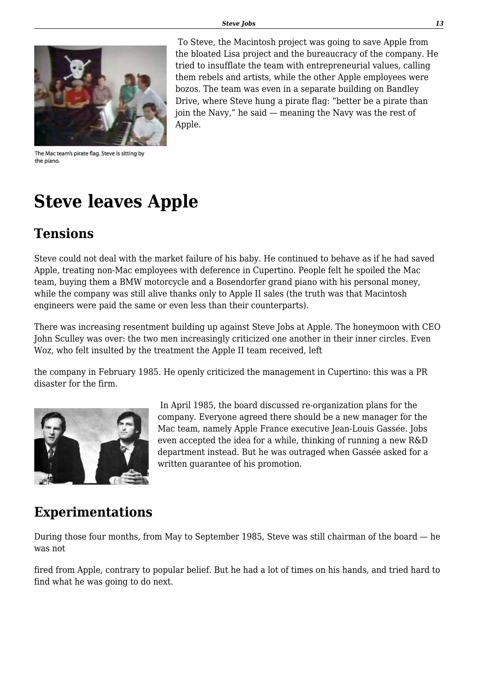

 To Steve, the Macintosh project was going to save Apple from the bloated Lisa project and the bureaucracy of the company. He tried to insufflate the team with entrepreneurial values, calling them rebels and artists, while the other Apple employees were bozos. The team was even in a separate building on Bandley Drive, where Steve hung a pirate flag: "better be a pirate than join the Navy," he said — meaning the Navy was the rest of Apple.

The Mac team's pirate flag. Steve is sitting by the piano.

## **Steve leaves Apple**

### **Tensions**

Steve could not deal with the market failure of his baby. He continued to behave as if he had saved Apple, treating non-Mac employees with deference in Cupertino. People felt he spoiled the Mac team, buying them a BMW motorcycle and a Bosendorfer grand piano with his personal money, while the company was still alive thanks only to Apple II sales (the truth was that Macintosh engineers were paid the same or even less than their counterparts).

There was increasing resentment building up against Steve Jobs at Apple. The honeymoon with CEO John Sculley was over: the two men increasingly criticized one another in their inner circles. Even Woz, who felt insulted by the treatment the Apple II team received, left

the company in February 1985. He openly criticized the management in Cupertino: this was a PR disaster for the firm.



 In April 1985, the board discussed re-organization plans for the company. Everyone agreed there should be a new manager for the Mac team, namely Apple France executive Jean-Louis Gassée. Jobs even accepted the idea for a while, thinking of running a new R&D department instead. But he was outraged when Gassée asked for a written guarantee of his promotion.

### **Experimentations**

During those four months, from May to September 1985, Steve was still chairman of the board — he was not

fired from Apple, contrary to popular belief. But he had a lot of times on his hands, and tried hard to find what he was going to do next.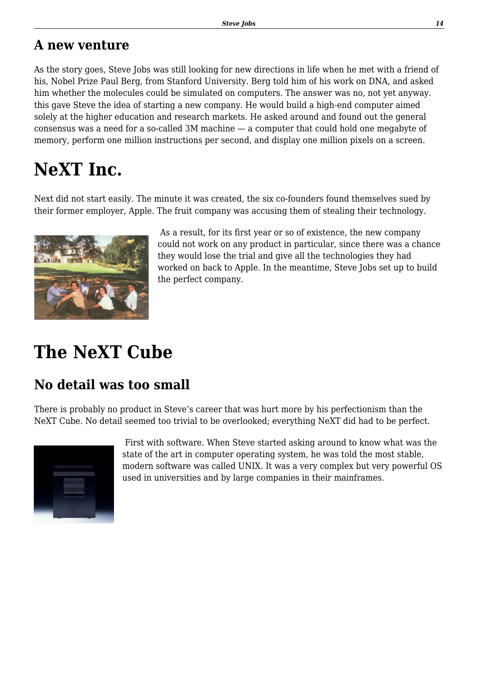### **A new venture**

As the story goes, Steve Jobs was still looking for new directions in life when he met with a friend of his, Nobel Prize Paul Berg, from Stanford University. Berg told him of his work on DNA, and asked him whether the molecules could be simulated on computers. The answer was no, not yet anyway. this gave Steve the idea of starting a new company. He would build a high-end computer aimed solely at the higher education and research markets. He asked around and found out the general consensus was a need for a so-called 3M machine — a computer that could hold one megabyte of memory, perform one million instructions per second, and display one million pixels on a screen.

# **NeXT Inc.**

Next did not start easily. The minute it was created, the six co-founders found themselves sued by their former employer, Apple. The fruit company was accusing them of stealing their technology.



 As a result, for its first year or so of existence, the new company could not work on any product in particular, since there was a chance they would lose the trial and give all the technologies they had worked on back to Apple. In the meantime, Steve Jobs set up to build the perfect company.

# **The NeXT Cube**

### **No detail was too small**

There is probably no product in Steve's career that was hurt more by his perfectionism than the NeXT Cube. No detail seemed too trivial to be overlooked; everything NeXT did had to be perfect.



 First with software. When Steve started asking around to know what was the state of the art in computer operating system, he was told the most stable, modern software was called UNIX. It was a very complex but very powerful OS used in universities and by large companies in their mainframes.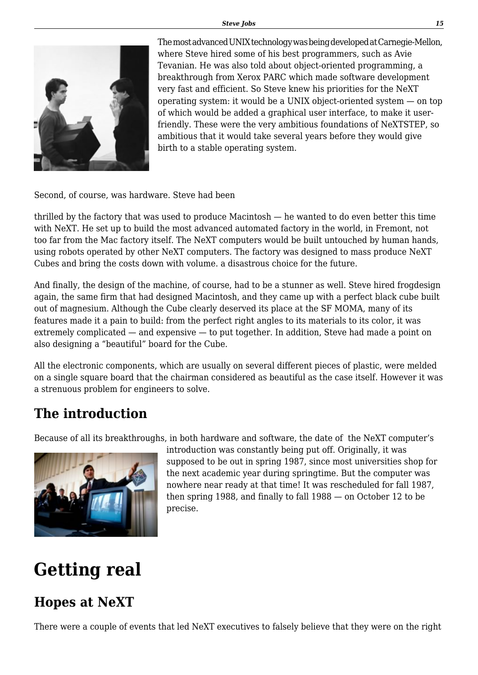

The most advanced UNIX technology was being developed at Carnegie-Mellon, where Steve hired some of his best programmers, such as Avie Tevanian. He was also told about object-oriented programming, a breakthrough from Xerox PARC which made software development very fast and efficient. So Steve knew his priorities for the NeXT operating system: it would be a UNIX object-oriented system — on top of which would be added a graphical user interface, to make it userfriendly. These were the very ambitious foundations of NeXTSTEP, so ambitious that it would take several years before they would give birth to a stable operating system.

Second, of course, was hardware. Steve had been

thrilled by the factory that was used to produce Macintosh — he wanted to do even better this time with NeXT. He set up to build the most advanced automated factory in the world, in Fremont, not too far from the Mac factory itself. The NeXT computers would be built untouched by human hands, using robots operated by other NeXT computers. The factory was designed to mass produce NeXT Cubes and bring the costs down with volume. a disastrous choice for the future.

And finally, the design of the machine, of course, had to be a stunner as well. Steve hired frogdesign again, the same firm that had designed Macintosh, and they came up with a perfect black cube built out of magnesium. Although the Cube clearly deserved its place at the SF MOMA, many of its features made it a pain to build: from the perfect right angles to its materials to its color, it was extremely complicated — and expensive — to put together. In addition, Steve had made a point on also designing a "beautiful" board for the Cube.

All the electronic components, which are usually on several different pieces of plastic, were melded on a single square board that the chairman considered as beautiful as the case itself. However it was a strenuous problem for engineers to solve.

### **The introduction**

Because of all its breakthroughs, in both hardware and software, the date of the NeXT computer's



introduction was constantly being put off. Originally, it was supposed to be out in spring 1987, since most universities shop for the next academic year during springtime. But the computer was nowhere near ready at that time! It was rescheduled for fall 1987, then spring 1988, and finally to fall 1988 — on October 12 to be precise.

# **Getting real**

### **Hopes at NeXT**

There were a couple of events that led NeXT executives to falsely believe that they were on the right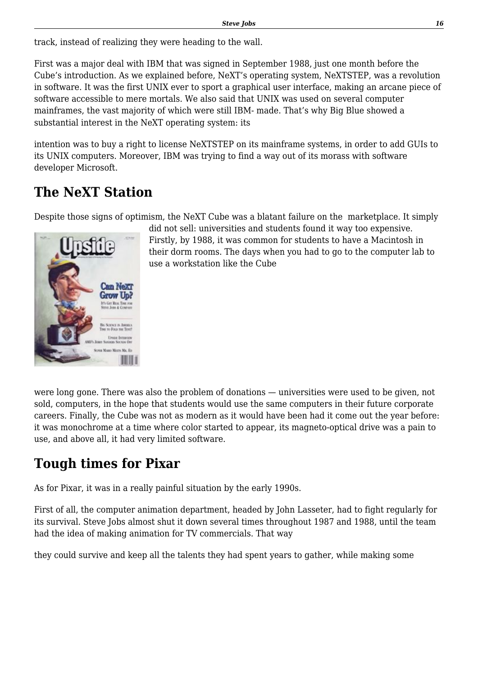track, instead of realizing they were heading to the wall.

First was a major deal with IBM that was signed in September 1988, just one month before the Cube's introduction. As we explained before, NeXT's operating system, NeXTSTEP, was a revolution in software. It was the first UNIX ever to sport a graphical user interface, making an arcane piece of software accessible to mere mortals. We also said that UNIX was used on several computer mainframes, the vast majority of which were still IBM- made. That's why Big Blue showed a substantial interest in the NeXT operating system: its

intention was to buy a right to license NeXTSTEP on its mainframe systems, in order to add GUIs to its UNIX computers. Moreover, IBM was trying to find a way out of its morass with software developer Microsoft.

### **The NeXT Station**

Despite those signs of optimism, the NeXT Cube was a blatant failure on the marketplace. It simply



did not sell: universities and students found it way too expensive. Firstly, by 1988, it was common for students to have a Macintosh in their dorm rooms. The days when you had to go to the computer lab to use a workstation like the Cube

were long gone. There was also the problem of donations — universities were used to be given, not sold, computers, in the hope that students would use the same computers in their future corporate careers. Finally, the Cube was not as modern as it would have been had it come out the year before: it was monochrome at a time where color started to appear, its magneto-optical drive was a pain to use, and above all, it had very limited software.

### **Tough times for Pixar**

As for Pixar, it was in a really painful situation by the early 1990s.

First of all, the computer animation department, headed by John Lasseter, had to fight regularly for its survival. Steve Jobs almost shut it down several times throughout 1987 and 1988, until the team had the idea of making animation for TV commercials. That way

they could survive and keep all the talents they had spent years to gather, while making some